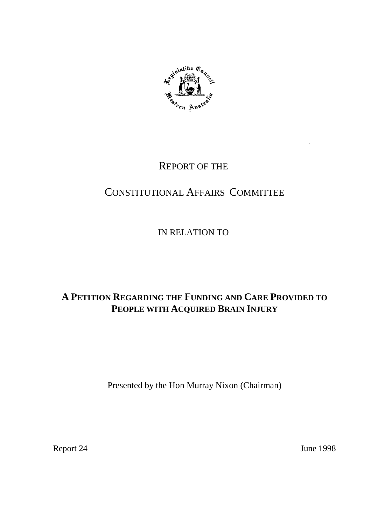

## REPORT OF THE

# CONSTITUTIONAL AFFAIRS COMMITTEE

IN RELATION TO

# **A PETITION REGARDING THE FUNDING AND CARE PROVIDED TO PEOPLE WITH ACQUIRED BRAIN INJURY**

Presented by the Hon Murray Nixon (Chairman)

Report 24 June 1998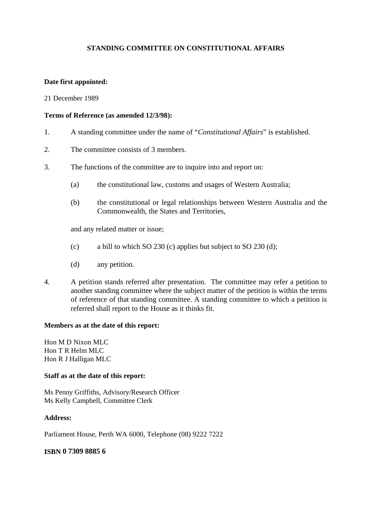#### **STANDING COMMITTEE ON CONSTITUTIONAL AFFAIRS**

#### **Date first appointed:**

#### 21 December 1989

#### **Terms of Reference (as amended 12/3/98):**

- 1. A standing committee under the name of "*Constitutional Affairs*" is established.
- 2. The committee consists of 3 members.
- 3. The functions of the committee are to inquire into and report on:
	- (a) the constitutional law, customs and usages of Western Australia;
	- (b) the constitutional or legal relationships between Western Australia and the Commonwealth, the States and Territories,

and any related matter or issue;

- (c) a bill to which SO 230 (c) applies but subject to SO 230 (d);
- (d) any petition.
- 4. A petition stands referred after presentation. The committee may refer a petition to another standing committee where the subject matter of the petition is within the terms of reference of that standing committee. A standing committee to which a petition is referred shall report to the House as it thinks fit.

#### **Members as at the date of this report:**

Hon M D Nixon MLC Hon T R Helm MLC Hon R J Halligan MLC

#### **Staff as at the date of this report:**

Ms Penny Griffiths, Advisory/Research Officer Ms Kelly Campbell, Committee Clerk

#### **Address:**

Parliament House, Perth WA 6000, Telephone (08) 9222 7222

#### **ISBN 0 7309 8885 6**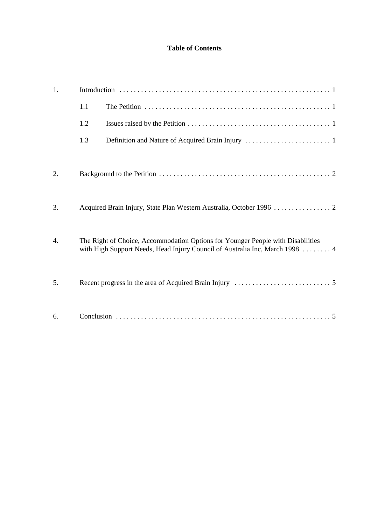### **Table of Contents**

| 1.               |     |                                                                                                                                                                 |
|------------------|-----|-----------------------------------------------------------------------------------------------------------------------------------------------------------------|
|                  | 1.1 |                                                                                                                                                                 |
|                  | 1.2 |                                                                                                                                                                 |
|                  | 1.3 |                                                                                                                                                                 |
| 2.               |     |                                                                                                                                                                 |
| 3.               |     |                                                                                                                                                                 |
|                  |     |                                                                                                                                                                 |
| $\overline{4}$ . |     | The Right of Choice, Accommodation Options for Younger People with Disabilities<br>with High Support Needs, Head Injury Council of Australia Inc, March 1998  4 |
| 5.               |     |                                                                                                                                                                 |
| 6.               |     |                                                                                                                                                                 |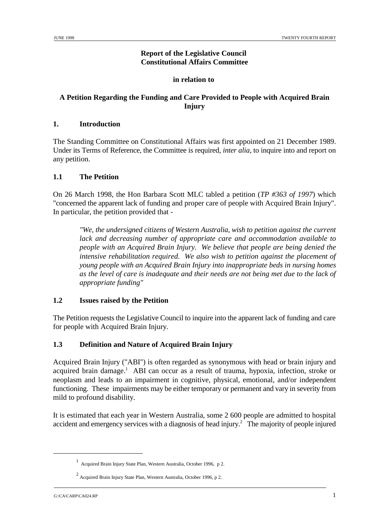## **Report of the Legislative Council Constitutional Affairs Committee**

## **in relation to**

## **A Petition Regarding the Funding and Care Provided to People with Acquired Brain Injury**

## **1. Introduction**

The Standing Committee on Constitutional Affairs was first appointed on 21 December 1989. Under its Terms of Reference, the Committee is required, *inter alia*, to inquire into and report on any petition.

## **1.1 The Petition**

On 26 March 1998, the Hon Barbara Scott MLC tabled a petition (*TP #363 of 1997*) which "concerned the apparent lack of funding and proper care of people with Acquired Brain Injury". In particular, the petition provided that -

*"We, the undersigned citizens of Western Australia, wish to petition against the current lack and decreasing number of appropriate care and accommodation available to people with an Acquired Brain Injury. We believe that people are being denied the intensive rehabilitation required. We also wish to petition against the placement of young people with an Acquired Brain Injury into inappropriate beds in nursing homes as the level of care is inadequate and their needs are not being met due to the lack of appropriate funding"*

## **1.2 Issues raised by the Petition**

The Petition requests the Legislative Council to inquire into the apparent lack of funding and care for people with Acquired Brain Injury.

## **1.3 Definition and Nature of Acquired Brain Injury**

Acquired Brain Injury ("ABI") is often regarded as synonymous with head or brain injury and acquired brain damage.<sup>1</sup> ABI can occur as a result of trauma, hypoxia, infection, stroke or neoplasm and leads to an impairment in cognitive, physical, emotional, and/or independent functioning. These impairments may be either temporary or permanent and vary in severity from mild to profound disability.

It is estimated that each year in Western Australia, some 2 600 people are admitted to hospital accident and emergency services with a diagnosis of head injury.<sup>2</sup> The majority of people injured

<sup>&</sup>lt;sup>1</sup> Acquired Brain Injury State Plan, Western Australia, October 1996, p 2.

 $\frac{2}{3}$  Acquired Brain Injury State Plan, Western Australia, October 1996, p 2.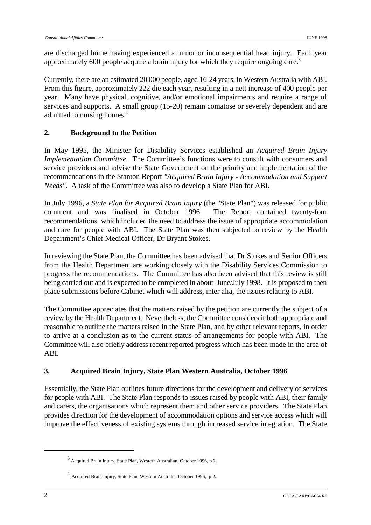are discharged home having experienced a minor or inconsequential head injury. Each year approximately 600 people acquire a brain injury for which they require ongoing care.<sup>3</sup>

Currently, there are an estimated 20 000 people, aged 16-24 years, in Western Australia with ABI. From this figure, approximately 222 die each year, resulting in a nett increase of 400 people per year. Many have physical, cognitive, and/or emotional impairments and require a range of services and supports. A small group (15-20) remain comatose or severely dependent and are admitted to nursing homes.<sup>4</sup>

## **2. Background to the Petition**

In May 1995, the Minister for Disability Services established an *Acquired Brain Injury Implementation Committee*. The Committee's functions were to consult with consumers and service providers and advise the State Government on the priority and implementation of the recommendations in the Stanton Report *"Acquired Brain Injury - Accommodation and Support Needs".* A task of the Committee was also to develop a State Plan for ABI.

In July 1996, a *State Plan for Acquired Brain Injury* (the "State Plan") was released for public comment and was finalised in October 1996. The Report contained twenty-four recommendations which included the need to address the issue of appropriate accommodation and care for people with ABI. The State Plan was then subjected to review by the Health Department's Chief Medical Officer, Dr Bryant Stokes.

In reviewing the State Plan, the Committee has been advised that Dr Stokes and Senior Officers from the Health Department are working closely with the Disability Services Commission to progress the recommendations. The Committee has also been advised that this review is still being carried out and is expected to be completed in about June/July 1998. It is proposed to then place submissions before Cabinet which will address, inter alia, the issues relating to ABI.

The Committee appreciates that the matters raised by the petition are currently the subject of a review by the Health Department. Nevertheless, the Committee considers it both appropriate and reasonable to outline the matters raised in the State Plan, and by other relevant reports, in order to arrive at a conclusion as to the current status of arrangements for people with ABI. The Committee will also briefly address recent reported progress which has been made in the area of ABI.

## **3. Acquired Brain Injury, State Plan Western Australia, October 1996**

Essentially, the State Plan outlines future directions for the development and delivery of services for people with ABI. The State Plan responds to issues raised by people with ABI, their family and carers, the organisations which represent them and other service providers. The State Plan provides direction for the development of accommodation options and service access which will improve the effectiveness of existing systems through increased service integration. The State

 $3$  Acquired Brain Injury, State Plan, Western Australian, October 1996, p 2.

Acquired Brain Injury, State Plan, Western Australia, October 1996, p 2. <sup>4</sup>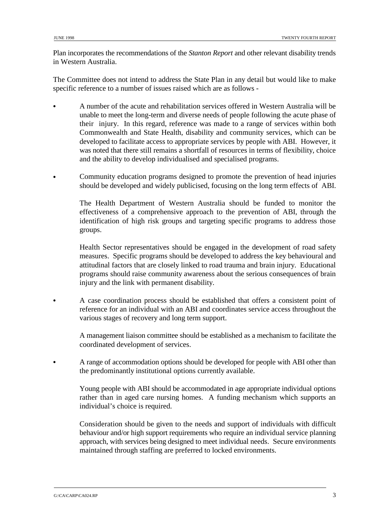Plan incorporates the recommendations of the *Stanton Report* and other relevant disability trends in Western Australia.

The Committee does not intend to address the State Plan in any detail but would like to make specific reference to a number of issues raised which are as follows -

- & A number of the acute and rehabilitation services offered in Western Australia will be unable to meet the long-term and diverse needs of people following the acute phase of their injury. In this regard, reference was made to a range of services within both Commonwealth and State Health, disability and community services, which can be developed to facilitate access to appropriate services by people with ABI. However, it was noted that there still remains a shortfall of resources in terms of flexibility, choice and the ability to develop individualised and specialised programs.
- & Community education programs designed to promote the prevention of head injuries should be developed and widely publicised, focusing on the long term effects of ABI.

The Health Department of Western Australia should be funded to monitor the effectiveness of a comprehensive approach to the prevention of ABI, through the identification of high risk groups and targeting specific programs to address those groups.

Health Sector representatives should be engaged in the development of road safety measures. Specific programs should be developed to address the key behavioural and attitudinal factors that are closely linked to road trauma and brain injury. Educational programs should raise community awareness about the serious consequences of brain injury and the link with permanent disability.

& A case coordination process should be established that offers a consistent point of reference for an individual with an ABI and coordinates service access throughout the various stages of recovery and long term support.

A management liaison committee should be established as a mechanism to facilitate the coordinated development of services.

& A range of accommodation options should be developed for people with ABI other than the predominantly institutional options currently available.

Young people with ABI should be accommodated in age appropriate individual options rather than in aged care nursing homes. A funding mechanism which supports an individual's choice is required.

Consideration should be given to the needs and support of individuals with difficult behaviour and/or high support requirements who require an individual service planning approach, with services being designed to meet individual needs. Secure environments maintained through staffing are preferred to locked environments.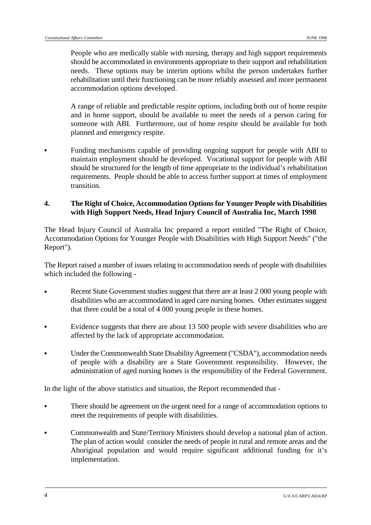People who are medically stable with nursing, therapy and high support requirements should be accommodated in environments appropriate to their support and rehabilitation needs. These options may be interim options whilst the person undertakes further rehabilitation until their functioning can be more reliably assessed and more permanent accommodation options developed.

A range of reliable and predictable respite options, including both out of home respite and in home support, should be available to meet the needs of a person caring for someone with ABI. Furthermore, out of home respite should be available for both planned and emergency respite.

& Funding mechanisms capable of providing ongoing support for people with ABI to maintain employment should be developed. Vocational support for people with ABI should be structured for the length of time appropriate to the individual's rehabilitation requirements. People should be able to access further support at times of employment transition.

#### **4. The Right of Choice, Accommodation Options for Younger People with Disabilities with High Support Needs, Head Injury Council of Australia Inc, March 1998**

The Head Injury Council of Australia Inc prepared a report entitled "The Right of Choice, Accommodation Options for Younger People with Disabilities with High Support Needs" ("the Report").

The Report raised a number of issues relating to accommodation needs of people with disabilities which included the following -

- Recent State Government studies suggest that there are at least 2 000 young people with disabilities who are accommodated in aged care nursing homes. Other estimates suggest that there could be a total of 4 000 young people in these homes.
- Evidence suggests that there are about 13 500 people with severe disabilities who are affected by the lack of appropriate accommodation.
- Under the Commonwealth State Disability Agreement ("CSDA"), accommodation needs of people with a disability are a State Government responsibility. However, the administration of aged nursing homes is the responsibility of the Federal Government.

In the light of the above statistics and situation, the Report recommended that -

- There should be agreement on the urgent need for a range of accommodation options to meet the requirements of people with disabilities.
- Commonwealth and State/Territory Ministers should develop a national plan of action. The plan of action would consider the needs of people in rural and remote areas and the Aboriginal population and would require significant additional funding for it's implementation.